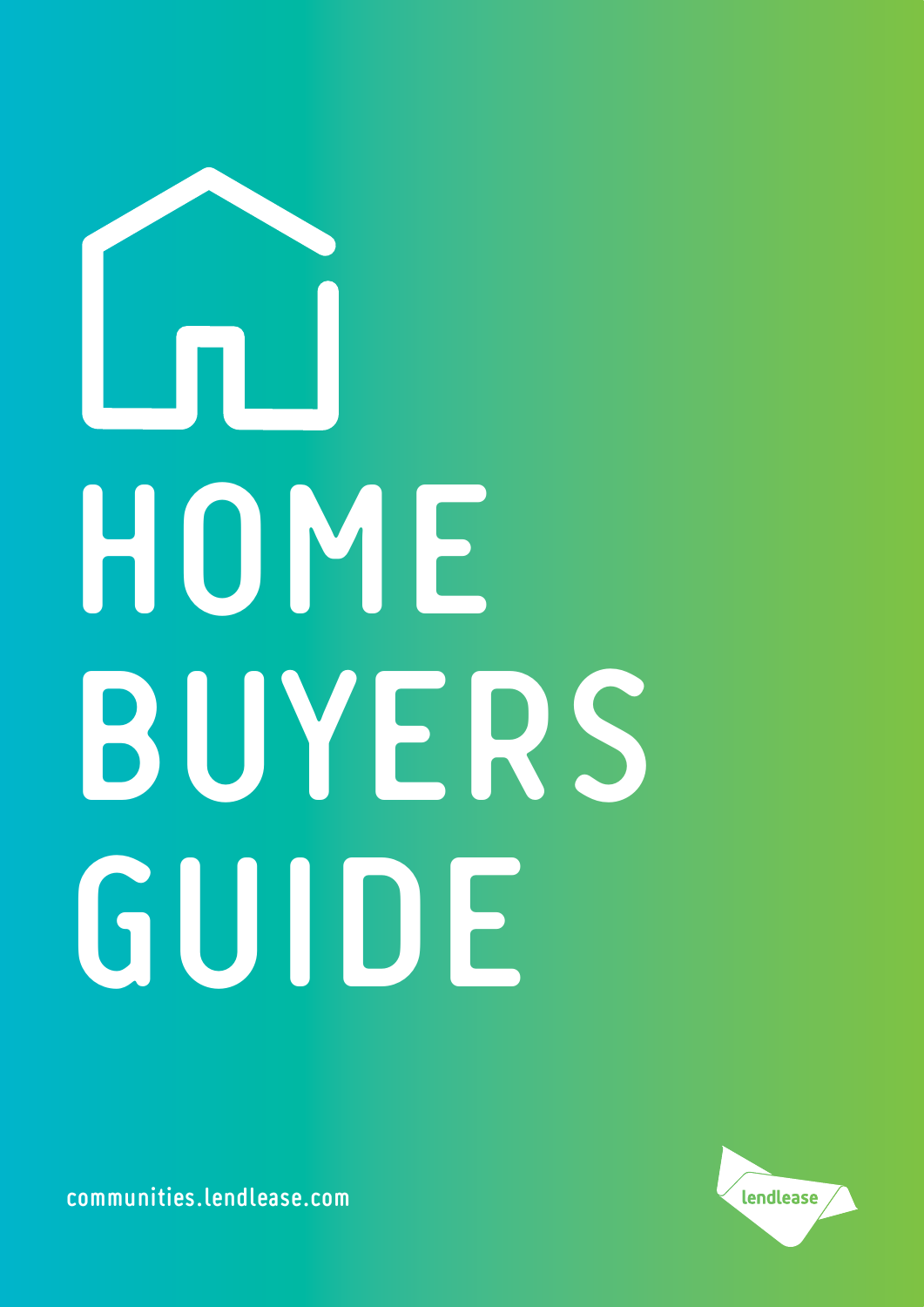# **HOME BUYERS GUIDE**



**communities.lendlease.com**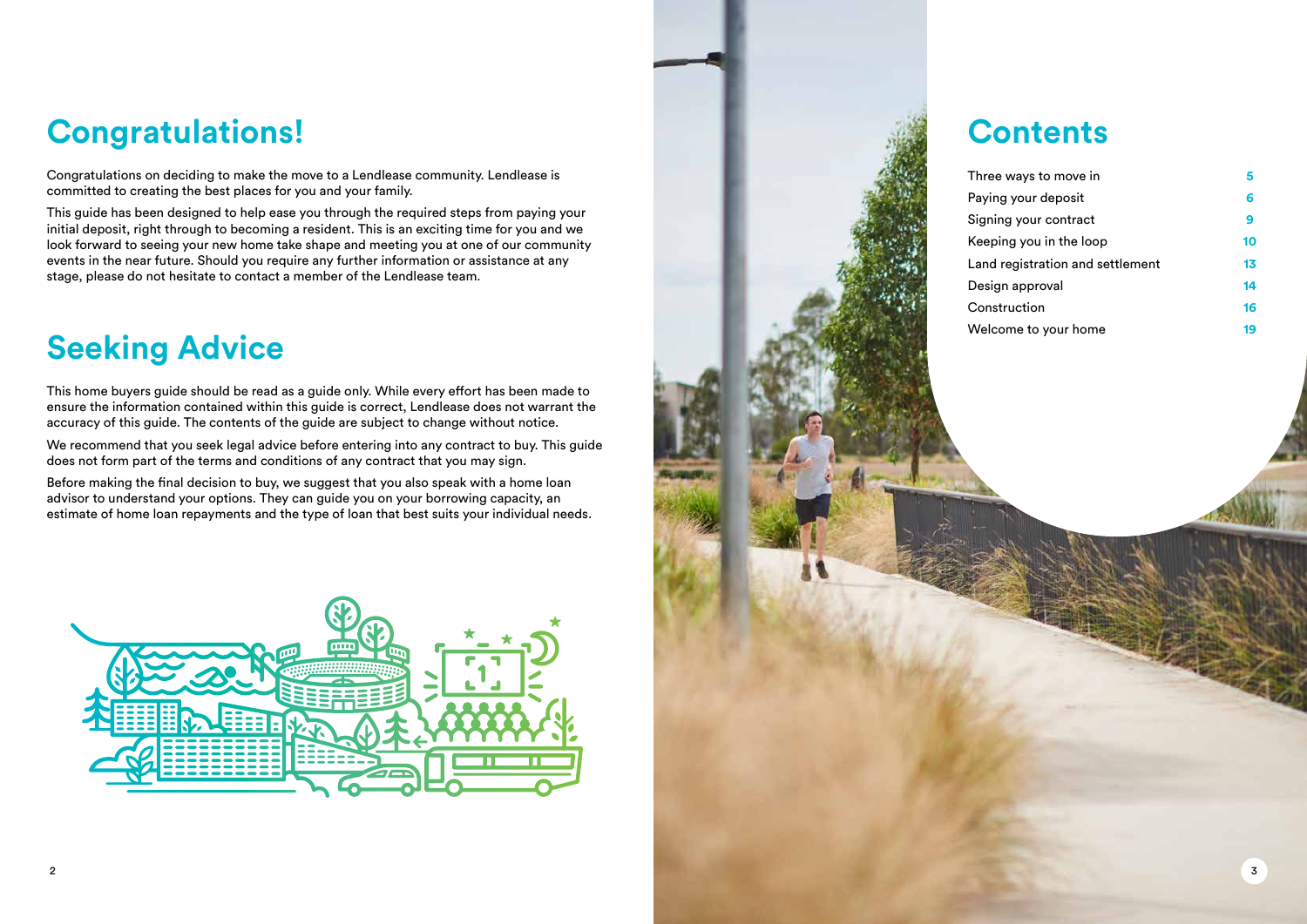## **Congratulations!**

Congratulations on deciding to make the move to a Lendlease community. Lendlease is committed to creating the best places for you and your family.

This guide has been designed to help ease you through the required steps from paying your initial deposit, right through to becoming a resident. This is an exciting time for you and we look forward to seeing your new home take shape and meeting you at one of our community events in the near future. Should you require any further information or assistance at any stage, please do not hesitate to contact a member of the Lendlease team.

## **Seeking Advice**

This home buyers guide should be read as a guide only. While every effort has been made to ensure the information contained within this guide is correct, Lendlease does not warrant the accuracy of this guide. The contents of the guide are subject to change without notice.

We recommend that you seek legal advice before entering into any contract to buy. This guide does not form part of the terms and conditions of any contract that you may sign.

Before making the final decision to buy, we suggest that you also speak with a home loan advisor to understand your options. They can guide you on your borrowing capacity, an estimate of home loan repayments and the type of loan that best suits your individual needs.





| ee ways to move in            |    |
|-------------------------------|----|
| ing your deposit              | 6  |
| ning your contract            | 9  |
| ping you in the loop!         | 10 |
| d registration and settlement | 13 |
| ign approval                  | 14 |
| าstruction                    | 16 |
| lcome to your home            | 19 |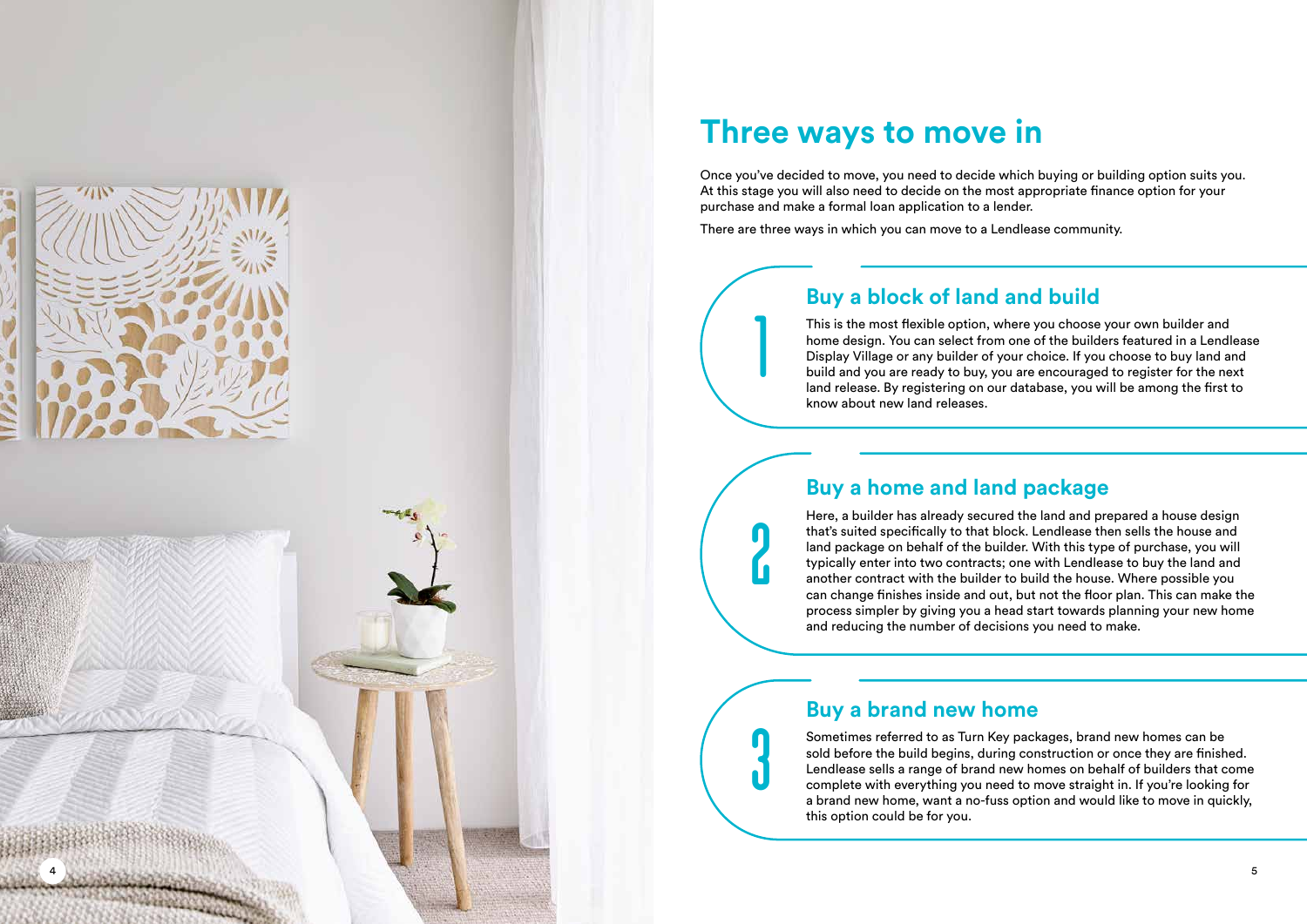#### **Three ways to move in**

Once you've decided to move, you need to decide which buying or building option suits you. At this stage you will also need to decide on the most appropriate finance option for your purchase and make a formal loan application to a lender.

There are three ways in which you can move to a Lendlease community.

#### **Buy a block of land and build**

This is the most flexible option, where you choose your own builder and home design. You can select from one of the builders featured in a Lendlease Display Village or any builder of your choice. If you choose to buy land and build and you are ready to buy, you are encouraged to register for the next land release. By registering on our database, you will be among the first to know about new land releases.

#### **Buy a home and land package**

Here, a builder has already secured the land and prepared a house design that's suited specifically to that block. Lendlease then sells the house and land package on behalf of the builder. With this type of purchase, you will typically enter into two contracts; one with Lendlease to buy the land and another contract with the builder to build the house. Where possible you can change finishes inside and out, but not the floor plan. This can make the process simpler by giving you a head start towards planning your new home and reducing the number of decisions you need to make.

#### **Buy a brand new home**

1<br>2<br>2<br>3<br>3

Sometimes referred to as Turn Key packages, brand new homes can be sold before the build begins, during construction or once they are finished. Lendlease sells a range of brand new homes on behalf of builders that come complete with everything you need to move straight in. If you're looking for a brand new home, want a no-fuss option and would like to move in quickly, this option could be for you.



4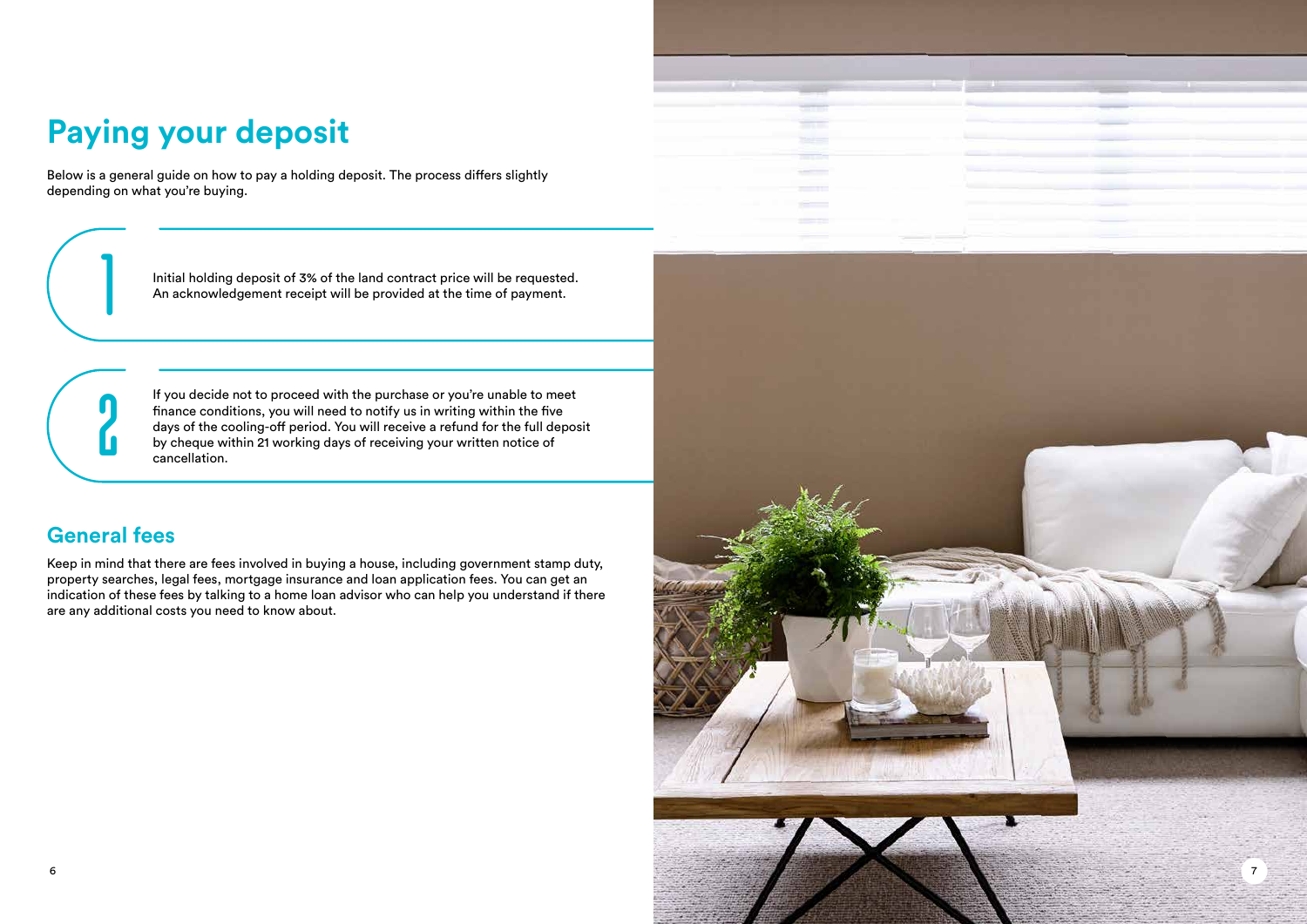## **Paying your deposit**

Below is a general guide on how to pay a holding deposit. The process differs slightly depending on what you're buying.

> Initial holding deposit of 3% of the land contract price will be requested. An acknowledgement receipt will be provided at the time of payment.

If you decide not to proceed with the purchase or you're unable to meet finance conditions, you will need to notify us in writing within the five days of the cooling-off period. You will receive a refund for the full deposit by cheque within 21 working days of receiving your written notice of cancellation.

1

2

#### **General fees**

Keep in mind that there are fees involved in buying a house, including government stamp duty, property searches, legal fees, mortgage insurance and loan application fees. You can get an indication of these fees by talking to a home loan advisor who can help you understand if there are any additional costs you need to know about.

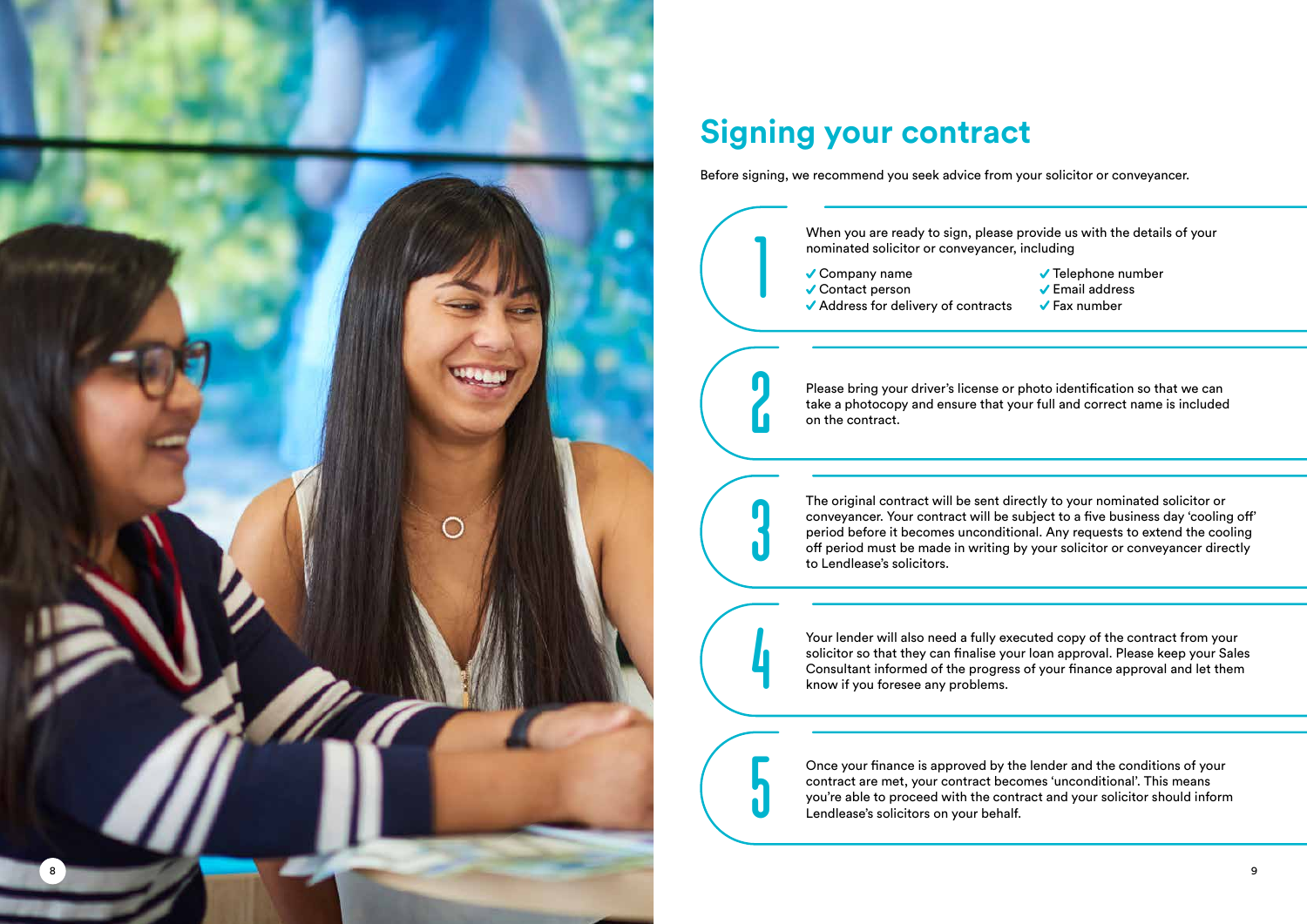## **Signing your contract**

Before signing, we recommend you seek advice from your solicitor or conveyancer.

- $\checkmark$  Telephone number
- Email address

 $\sqrt{\phantom{a}}$  Fax number

Please bring your driver's license or photo identification so that we can take a photocopy and ensure that your full and correct name is included

The original contract will be sent directly to your nominated solicitor or conveyancer. Your contract will be subject to a five business day 'cooling off' period before it becomes unconditional. Any requests to extend the cooling off period must be made in writing by your solicitor or conveyancer directly



| ease provide us with the details of your |
|------------------------------------------|
| ncer, including                          |

Your lender will also need a fully executed copy of the contract from your solicitor so that they can finalise your loan approval. Please keep your Sales Consultant informed of the progress of your finance approval and let them

Once your finance is approved by the lender and the conditions of your contract are met, your contract becomes 'unconditional'. This means you're able to proceed with the contract and your solicitor should inform

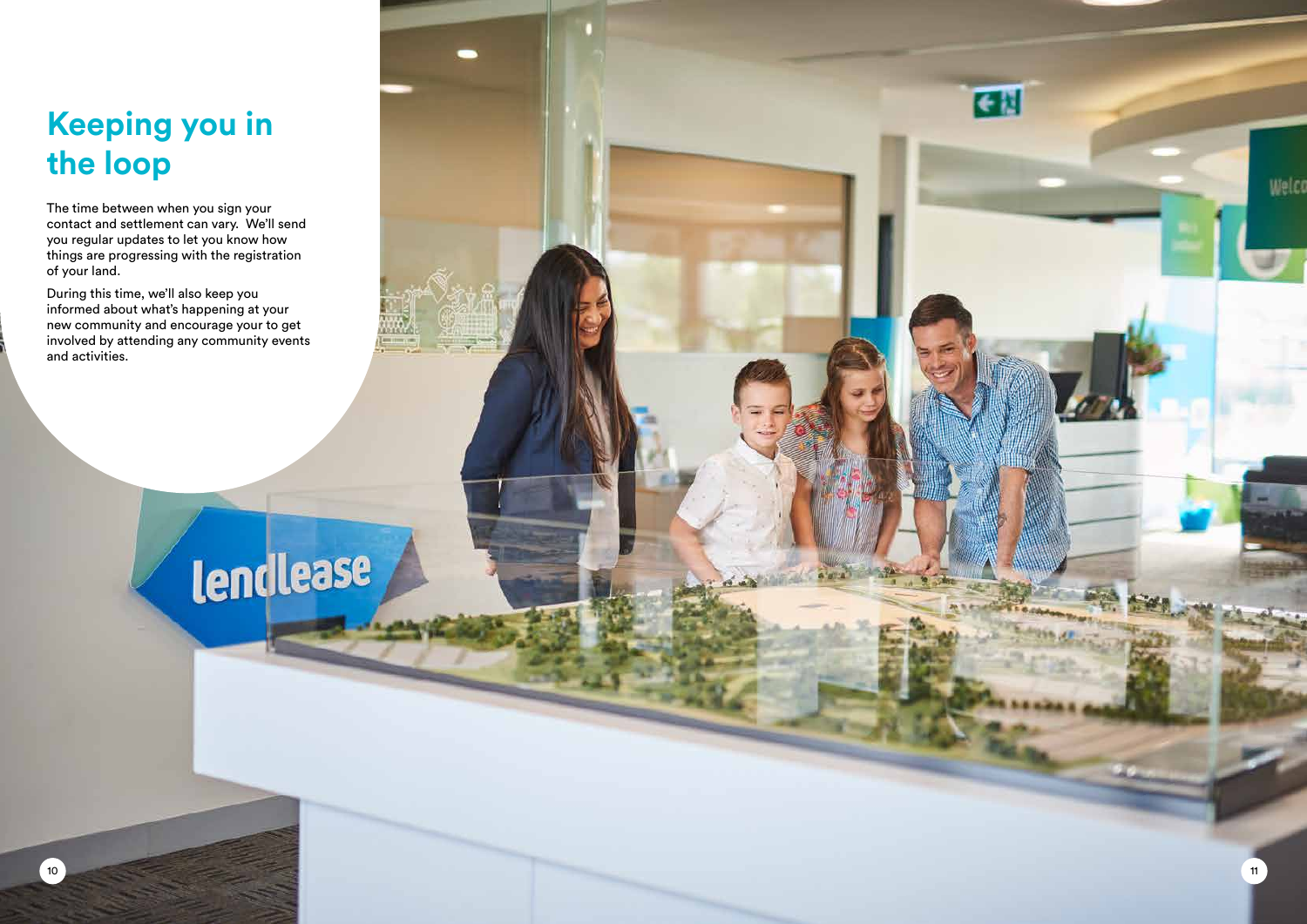## **Keeping you in the loop**

The time between when you sign your contact and settlement can vary. We'll send you regular updates to let you know how things are progressing with the registration of your land.

During this time, we'll also keep you informed about what's happening at your new community and encourage your to get involved by attending any community events and activities.

lendlease

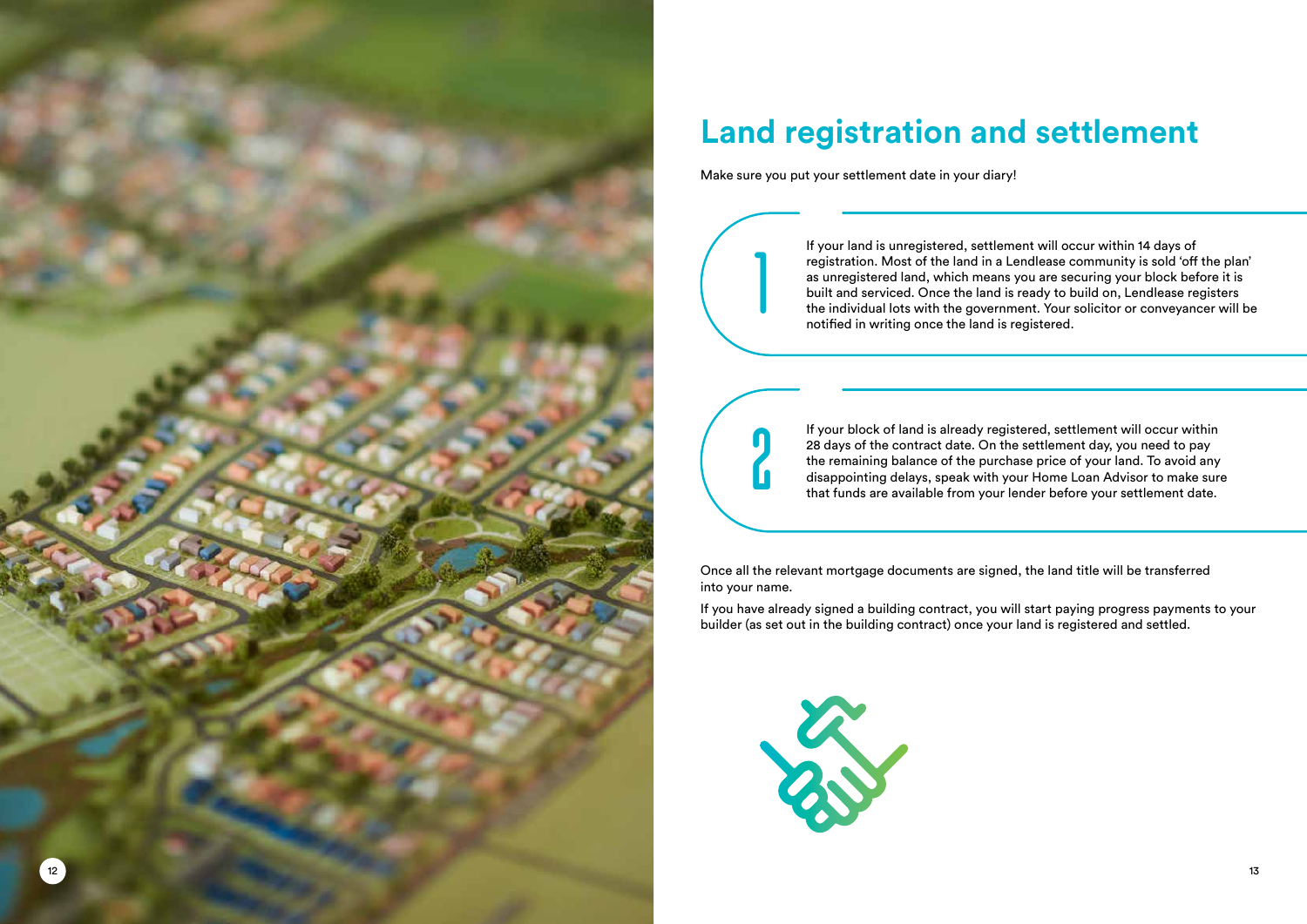## **Land registration and settlement**

Make sure you put your settlement date in your diary!

Once all the relevant mortgage documents are signed, the land title will be transferred into your name.

If you have already signed a building contract, you will start paying progress payments to your builder (as set out in the building contract) once your land is registered and settled.



If your land is unregistered, settlement will occur within 14 days of registration. Most of the land in a Lendlease community is sold 'off the plan' as unregistered land, which means you are securing your block before it is built and serviced. Once the land is ready to build on, Lendlease registers the individual lots with the government. Your solicitor or conveyancer will be notified in writing once the land is registered.

10

If your block of land is already registered, settlement will occur within 28 days of the contract date. On the settlement day, you need to pay the remaining balance of the purchase price of your land. To avoid any disappointing delays, speak with your Home Loan Advisor to make sure that funds are available from your lender before your settlement date.

1

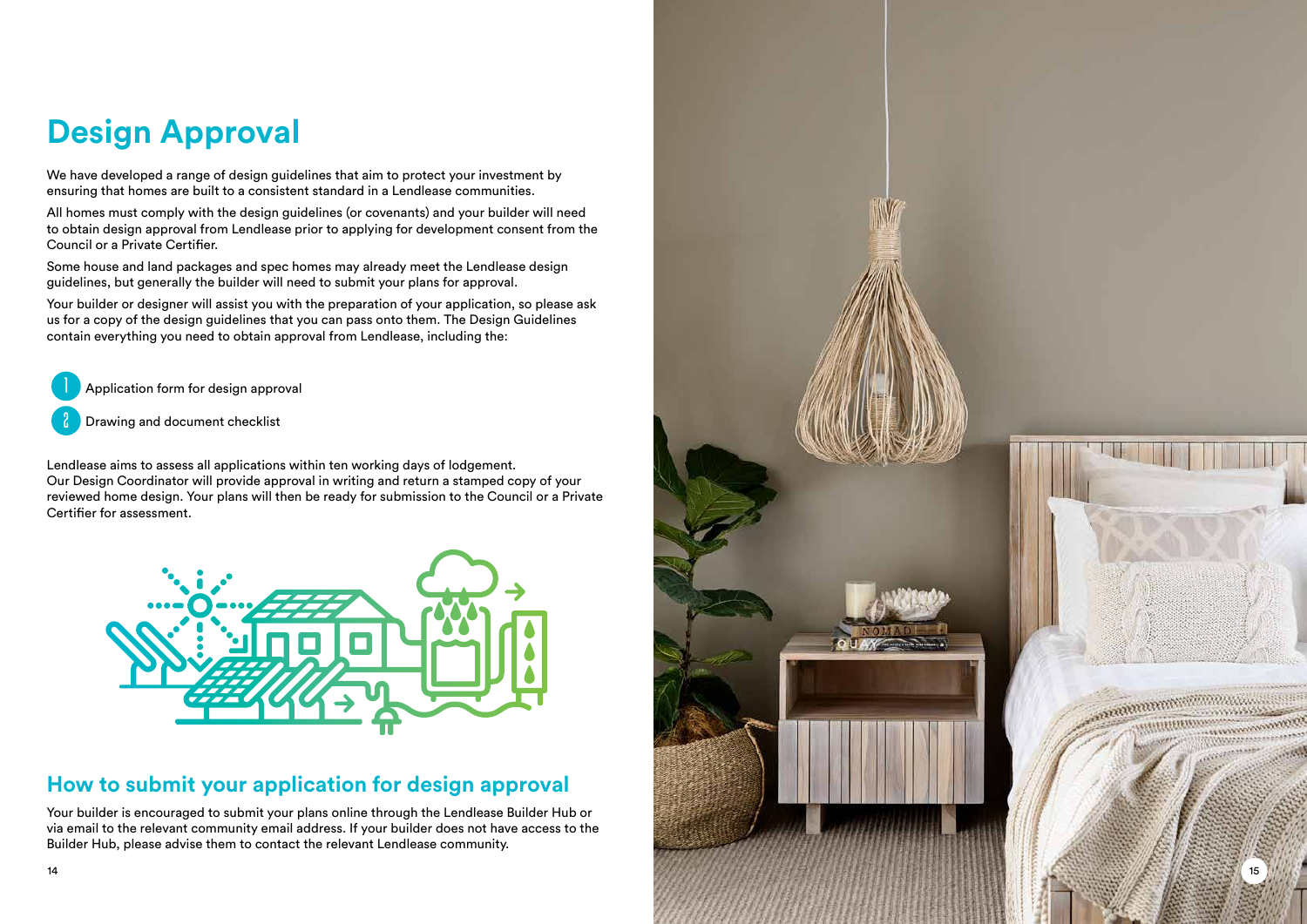## **Design Approval**

We have developed a range of design guidelines that aim to protect your investment by ensuring that homes are built to a consistent standard in a Lendlease communities.

All homes must comply with the design guidelines (or covenants) and your builder will need to obtain design approval from Lendlease prior to applying for development consent from the Council or a Private Certifier.

Some house and land packages and spec homes may already meet the Lendlease design guidelines, but generally the builder will need to submit your plans for approval.

Your builder or designer will assist you with the preparation of your application, so please ask us for a copy of the design guidelines that you can pass onto them. The Design Guidelines contain everything you need to obtain approval from Lendlease, including the:

Application form for design approval

Drawing and document checklist

Lendlease aims to assess all applications within ten working days of lodgement. Our Design Coordinator will provide approval in writing and return a stamped copy of your reviewed home design. Your plans will then be ready for submission to the Council or a Private Certifier for assessment.



#### **How to submit your application for design approval**

Your builder is encouraged to submit your plans online through the Lendlease Builder Hub or via email to the relevant community email address. If your builder does not have access to the Builder Hub, please advise them to contact the relevant Lendlease community.

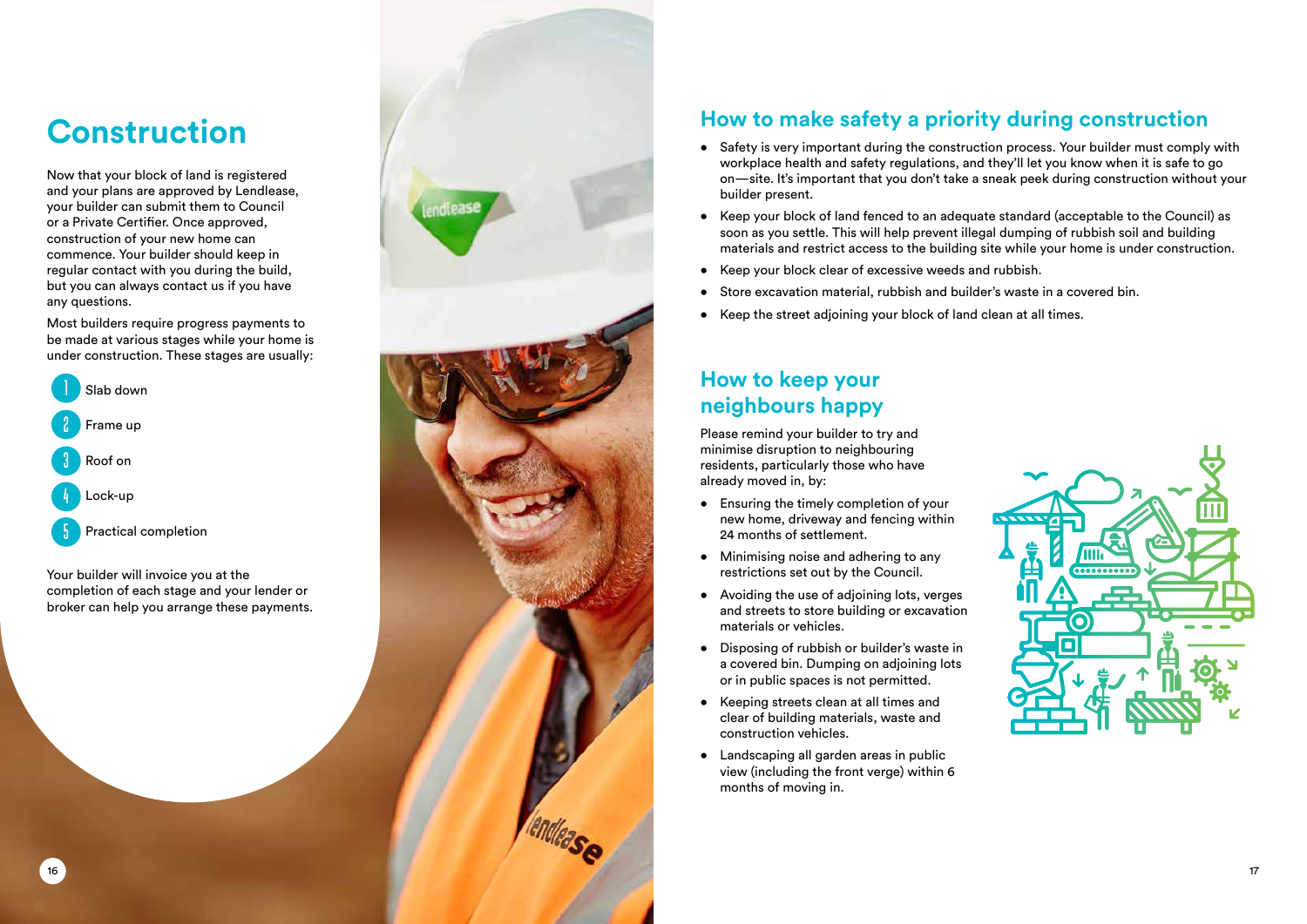#### **How to make safety a priority during construction**

- Safety is very important during the construction process. Your builder must comply with workplace health and safety regulations, and they'll let you know when it is safe to go on—site. It's important that you don't take a sneak peek during construction without your builder present.
- Keep your block of land fenced to an adequate standard (acceptable to the Council) as soon as you settle. This will help prevent illegal dumping of rubbish soil and building materials and restrict access to the building site while your home is under construction.
- Keep your block clear of excessive weeds and rubbish.
- Store excavation material, rubbish and builder's waste in a covered bin.
- Keep the street adjoining your block of land clean at all times.

#### **How to keep your neighbours happy**

Please remind your builder to try and minimise disruption to neighbouring residents, particularly those who have already moved in, by:

- Ensuring the timely completion of your new home, driveway and fencing within 24 months of settlement.
- Minimising noise and adhering to any restrictions set out by the Council.
- Avoiding the use of adjoining lots, verges and streets to store building or excavation materials or vehicles.
- Disposing of rubbish or builder's waste in a covered bin. Dumping on adjoining lots or in public spaces is not permitted.
- Keeping streets clean at all times and clear of building materials, waste and construction vehicles.
- Landscaping all garden areas in public view (including the front verge) within 6 months of moving in.



## **Construction**

Now that your block of land is registered and your plans are approved by Lendlease, your builder can submit them to Council or a Private Certifier. Once approved, construction of your new home can commence. Your builder should keep in regular contact with you during the build, but you can always contact us if you have any questions.

Most builders require progress payments to be made at various stages while your home is under construction. These stages are usually:



Your builder will invoice you at the completion of each stage and your lender or broker can help you arrange these payments.

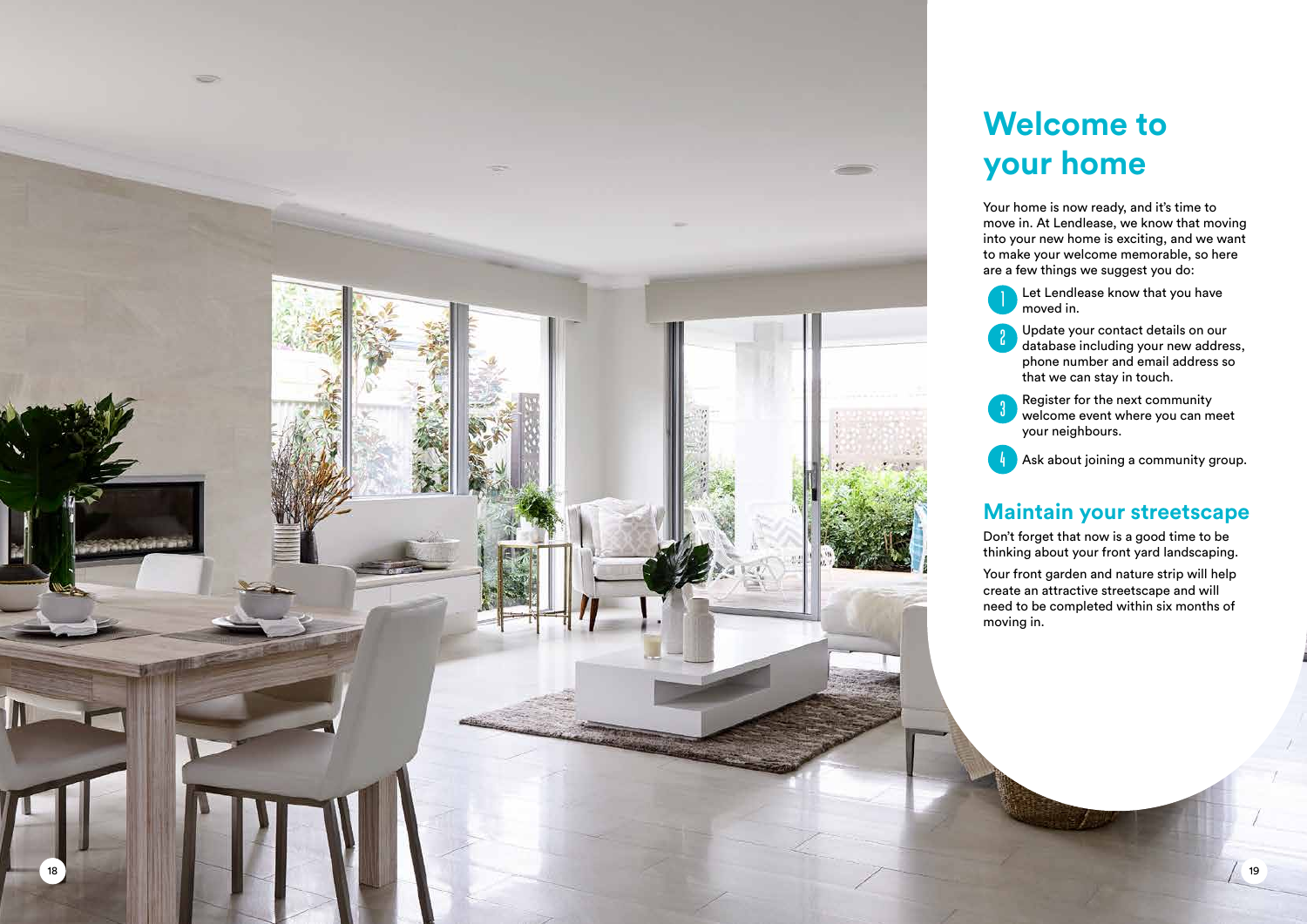## **Welcome to your home**

Your home is now ready, and it's time to move in. At Lendlease, we know that moving into your new home is exciting, and we want to make your welcome memorable, so here are a few things we suggest you do:

Let Lendlease know that you have moved in.

2 Update your contact details on our database including your new address, phone number and email address so that we can stay in touch.



**3** Register for the next community<br>welcome event where you can m welcome event where you can meet your neighbours.

Ask about joining a community group.

#### **Maintain your streetscape**

Don't forget that now is a good time to be thinking about your front yard landscaping.

Your front garden and nature strip will help create an attractive streetscape and will need to be completed within six months of moving in.